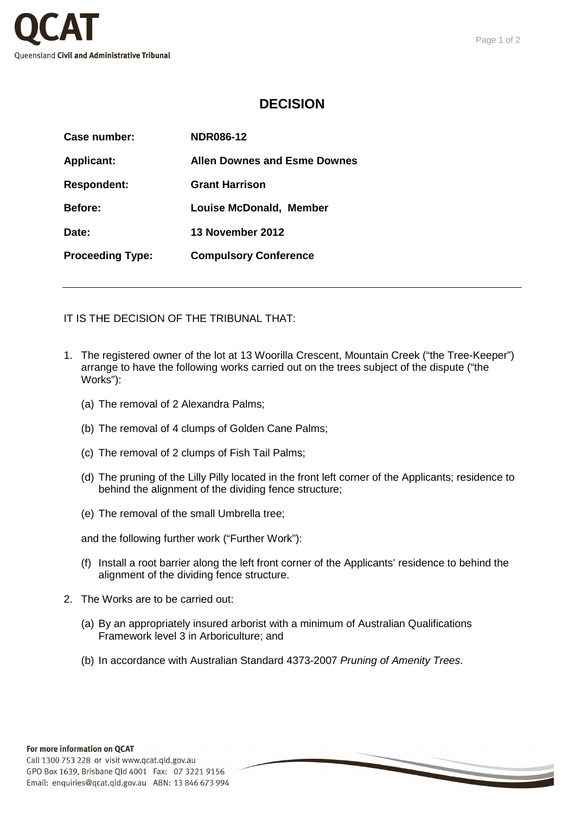

## **DECISION**

| Case number:            | <b>NDR086-12</b>               |
|-------------------------|--------------------------------|
| <b>Applicant:</b>       | Allen Downes and Esme Downes   |
| <b>Respondent:</b>      | <b>Grant Harrison</b>          |
| <b>Before:</b>          | <b>Louise McDonald, Member</b> |
| Date:                   | <b>13 November 2012</b>        |
| <b>Proceeding Type:</b> | <b>Compulsory Conference</b>   |
|                         |                                |

IT IS THE DECISION OF THE TRIBUNAL THAT:

- 1. The registered owner of the lot at 13 Woorilla Crescent, Mountain Creek ("the Tree-Keeper") arrange to have the following works carried out on the trees subject of the dispute ("the Works"):
	- (a) The removal of 2 Alexandra Palms;
	- (b) The removal of 4 clumps of Golden Cane Palms;
	- (c) The removal of 2 clumps of Fish Tail Palms;
	- (d) The pruning of the Lilly Pilly located in the front left corner of the Applicants; residence to behind the alignment of the dividing fence structure;
	- (e) The removal of the small Umbrella tree;

and the following further work ("Further Work"):

- (f) Install a root barrier along the left front corner of the Applicants' residence to behind the alignment of the dividing fence structure.
- 2. The Works are to be carried out:
	- (a) By an appropriately insured arborist with a minimum of Australian Qualifications Framework level 3 in Arboriculture; and
	- (b) In accordance with Australian Standard 4373-2007 Pruning of Amenity Trees.